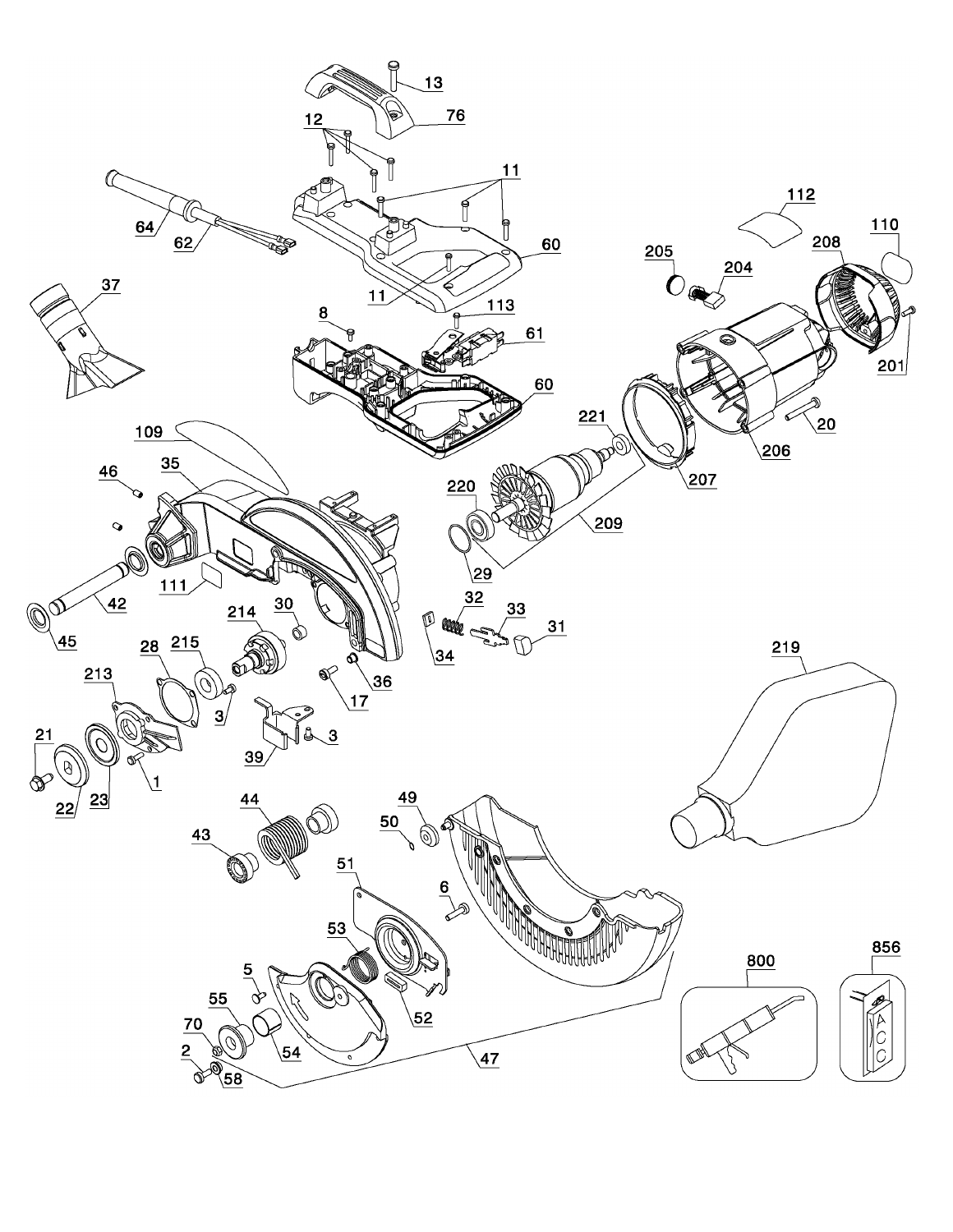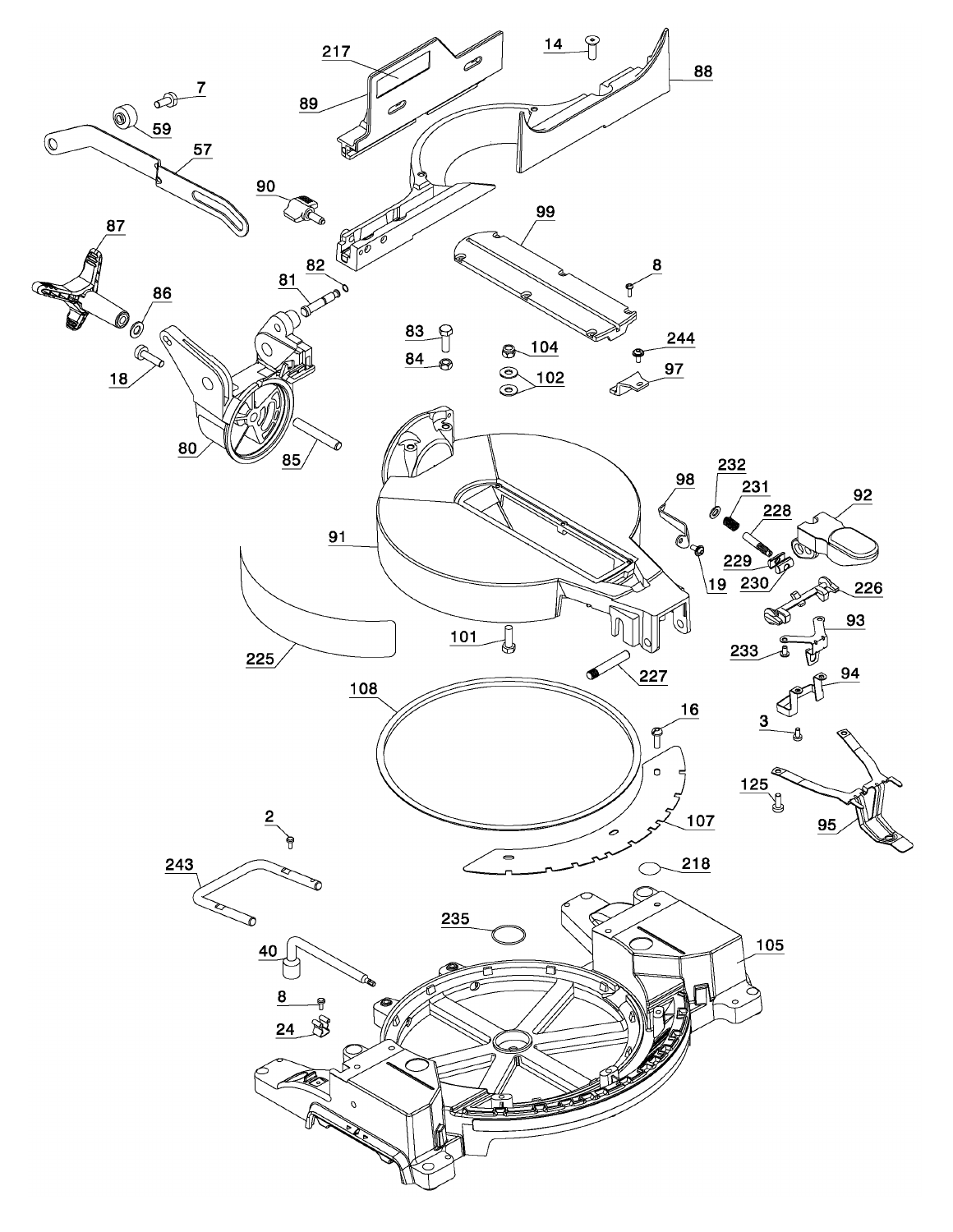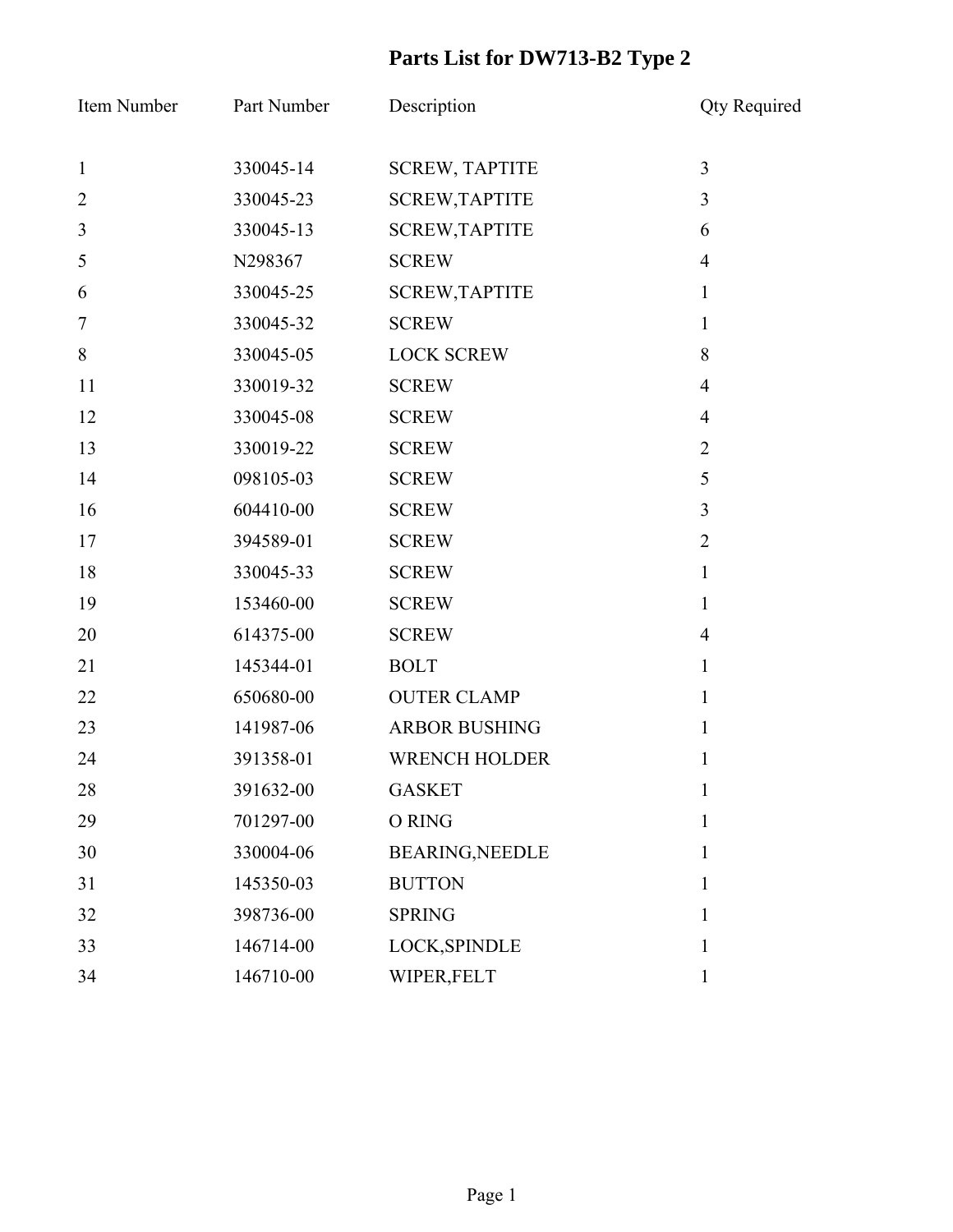| Item Number    | Part Number | Description            | <b>Qty Required</b> |
|----------------|-------------|------------------------|---------------------|
| $\mathbf{1}$   | 330045-14   | <b>SCREW, TAPTITE</b>  | $\overline{3}$      |
| $\overline{2}$ | 330045-23   | <b>SCREW, TAPTITE</b>  | 3                   |
| $\overline{3}$ | 330045-13   | <b>SCREW, TAPTITE</b>  | 6                   |
| 5              | N298367     | <b>SCREW</b>           | $\overline{4}$      |
| 6              | 330045-25   | <b>SCREW, TAPTITE</b>  | $\mathbf{1}$        |
| 7              | 330045-32   | <b>SCREW</b>           | $\mathbf{1}$        |
| 8              | 330045-05   | <b>LOCK SCREW</b>      | 8                   |
| 11             | 330019-32   | <b>SCREW</b>           | $\overline{4}$      |
| 12             | 330045-08   | <b>SCREW</b>           | $\overline{4}$      |
| 13             | 330019-22   | <b>SCREW</b>           | $\overline{2}$      |
| 14             | 098105-03   | <b>SCREW</b>           | 5                   |
| 16             | 604410-00   | <b>SCREW</b>           | 3                   |
| 17             | 394589-01   | <b>SCREW</b>           | $\overline{2}$      |
| 18             | 330045-33   | <b>SCREW</b>           | $\mathbf{1}$        |
| 19             | 153460-00   | <b>SCREW</b>           | $\mathbf{1}$        |
| 20             | 614375-00   | <b>SCREW</b>           | $\overline{4}$      |
| 21             | 145344-01   | <b>BOLT</b>            | $\mathbf{1}$        |
| 22             | 650680-00   | <b>OUTER CLAMP</b>     | $\mathbf{1}$        |
| 23             | 141987-06   | <b>ARBOR BUSHING</b>   | $\mathbf{1}$        |
| 24             | 391358-01   | <b>WRENCH HOLDER</b>   | 1                   |
| 28             | 391632-00   | <b>GASKET</b>          | $\bf{l}$            |
| 29             | 701297-00   | O RING                 | $\mathbf{1}$        |
| 30             | 330004-06   | <b>BEARING, NEEDLE</b> | 1                   |
| 31             | 145350-03   | <b>BUTTON</b>          | $\mathbf{1}$        |
| 32             | 398736-00   | <b>SPRING</b>          | $\mathbf{1}$        |
| 33             | 146714-00   | LOCK, SPINDLE          | 1                   |
| 34             | 146710-00   | WIPER, FELT            | $\mathbf{1}$        |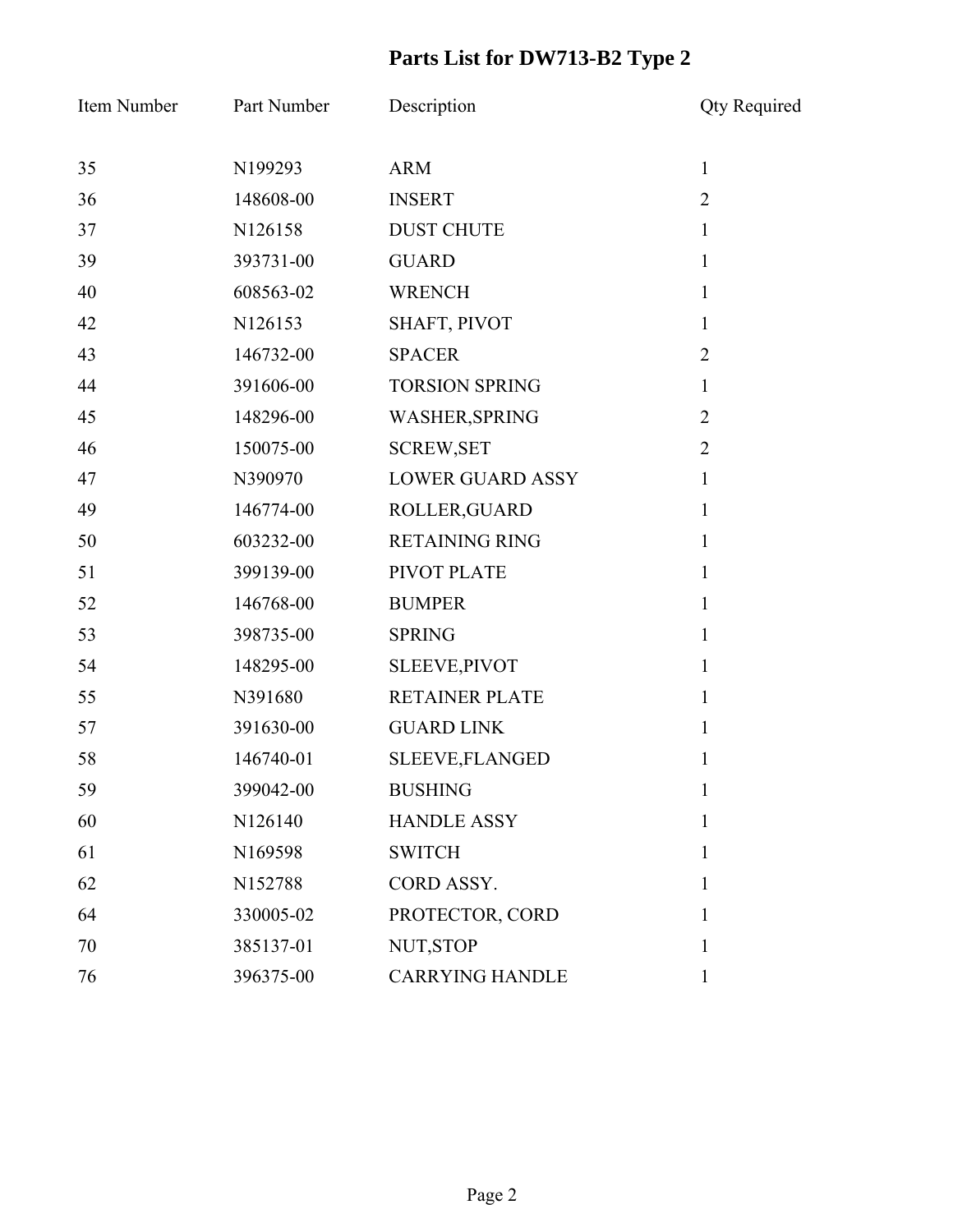| Item Number | Part Number | Description             | <b>Qty Required</b> |
|-------------|-------------|-------------------------|---------------------|
| 35          | N199293     | <b>ARM</b>              | $\mathbf{1}$        |
| 36          | 148608-00   | <b>INSERT</b>           | $\overline{2}$      |
| 37          | N126158     | <b>DUST CHUTE</b>       | $\mathbf{1}$        |
| 39          | 393731-00   | <b>GUARD</b>            | $\mathbf{1}$        |
| 40          | 608563-02   | <b>WRENCH</b>           | $\mathbf{1}$        |
| 42          | N126153     | SHAFT, PIVOT            | $\mathbf{1}$        |
| 43          | 146732-00   | <b>SPACER</b>           | $\overline{2}$      |
| 44          | 391606-00   | <b>TORSION SPRING</b>   | $\mathbf{1}$        |
| 45          | 148296-00   | WASHER, SPRING          | $\overline{2}$      |
| 46          | 150075-00   | <b>SCREW, SET</b>       | $\overline{2}$      |
| 47          | N390970     | <b>LOWER GUARD ASSY</b> | $\mathbf{1}$        |
| 49          | 146774-00   | ROLLER, GUARD           | $\mathbf{1}$        |
| 50          | 603232-00   | <b>RETAINING RING</b>   | $\mathbf{1}$        |
| 51          | 399139-00   | PIVOT PLATE             | $\mathbf{1}$        |
| 52          | 146768-00   | <b>BUMPER</b>           | $\mathbf{1}$        |
| 53          | 398735-00   | <b>SPRING</b>           | $\mathbf{1}$        |
| 54          | 148295-00   | SLEEVE, PIVOT           | $\mathbf{1}$        |
| 55          | N391680     | <b>RETAINER PLATE</b>   | $\mathbf{1}$        |
| 57          | 391630-00   | <b>GUARD LINK</b>       | $\mathbf{1}$        |
| 58          | 146740-01   | SLEEVE, FLANGED         | 1                   |
| 59          | 399042-00   | <b>BUSHING</b>          | $\mathbf{I}$        |
| 60          | N126140     | <b>HANDLE ASSY</b>      | 1                   |
| 61          | N169598     | <b>SWITCH</b>           | 1                   |
| 62          | N152788     | CORD ASSY.              | 1                   |
| 64          | 330005-02   | PROTECTOR, CORD         | 1                   |
| 70          | 385137-01   | NUT, STOP               | 1                   |
| 76          | 396375-00   | <b>CARRYING HANDLE</b>  | 1                   |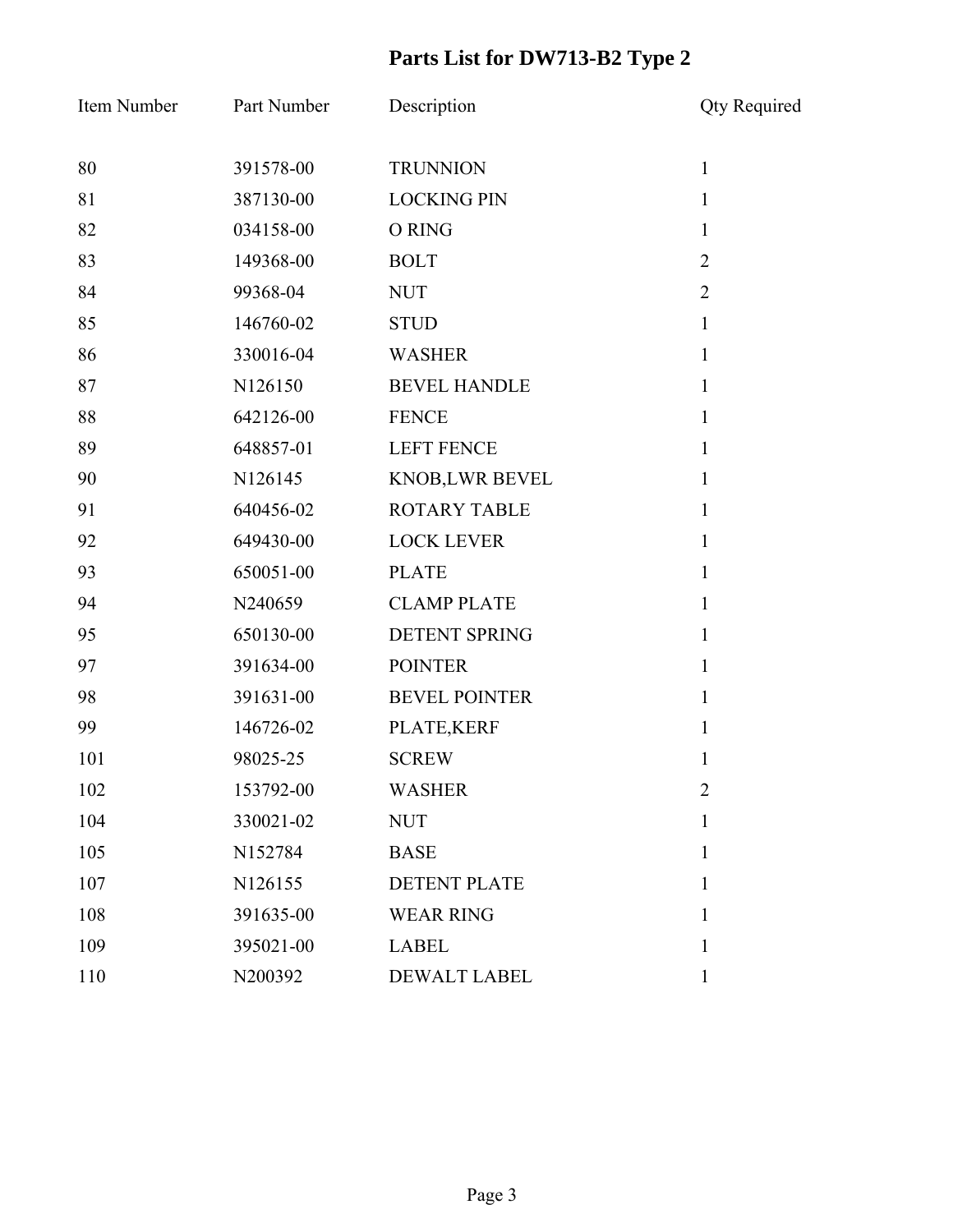| Item Number | Part Number | Description          | <b>Qty Required</b> |
|-------------|-------------|----------------------|---------------------|
| 80          | 391578-00   | <b>TRUNNION</b>      | $\mathbf{1}$        |
| 81          | 387130-00   | <b>LOCKING PIN</b>   | $\mathbf{1}$        |
| 82          | 034158-00   | O RING               | $\mathbf{1}$        |
| 83          | 149368-00   | <b>BOLT</b>          | $\overline{2}$      |
| 84          | 99368-04    | <b>NUT</b>           | $\overline{2}$      |
| 85          | 146760-02   | <b>STUD</b>          | $\mathbf{1}$        |
| 86          | 330016-04   | <b>WASHER</b>        | $\mathbf{1}$        |
| 87          | N126150     | <b>BEVEL HANDLE</b>  | $\mathbf{1}$        |
| 88          | 642126-00   | <b>FENCE</b>         | $\mathbf{1}$        |
| 89          | 648857-01   | <b>LEFT FENCE</b>    | $\mathbf{1}$        |
| 90          | N126145     | KNOB, LWR BEVEL      | $\mathbf{1}$        |
| 91          | 640456-02   | <b>ROTARY TABLE</b>  | $\mathbf{1}$        |
| 92          | 649430-00   | <b>LOCK LEVER</b>    | $\mathbf{1}$        |
| 93          | 650051-00   | <b>PLATE</b>         | $\mathbf{1}$        |
| 94          | N240659     | <b>CLAMP PLATE</b>   | $\mathbf{1}$        |
| 95          | 650130-00   | <b>DETENT SPRING</b> | $\mathbf{1}$        |
| 97          | 391634-00   | <b>POINTER</b>       | $\mathbf{1}$        |
| 98          | 391631-00   | <b>BEVEL POINTER</b> | $\mathbf{1}$        |
| 99          | 146726-02   | PLATE, KERF          | $\mathbf{1}$        |
| 101         | 98025-25    | <b>SCREW</b>         | 1                   |
| 102         | 153792-00   | <b>WASHER</b>        | 2                   |
| 104         | 330021-02   | <b>NUT</b>           | $\mathbf{1}$        |
| 105         | N152784     | <b>BASE</b>          | 1                   |
| 107         | N126155     | <b>DETENT PLATE</b>  | 1                   |
| 108         | 391635-00   | <b>WEAR RING</b>     | 1                   |
| 109         | 395021-00   | <b>LABEL</b>         | 1                   |
| 110         | N200392     | <b>DEWALT LABEL</b>  | 1                   |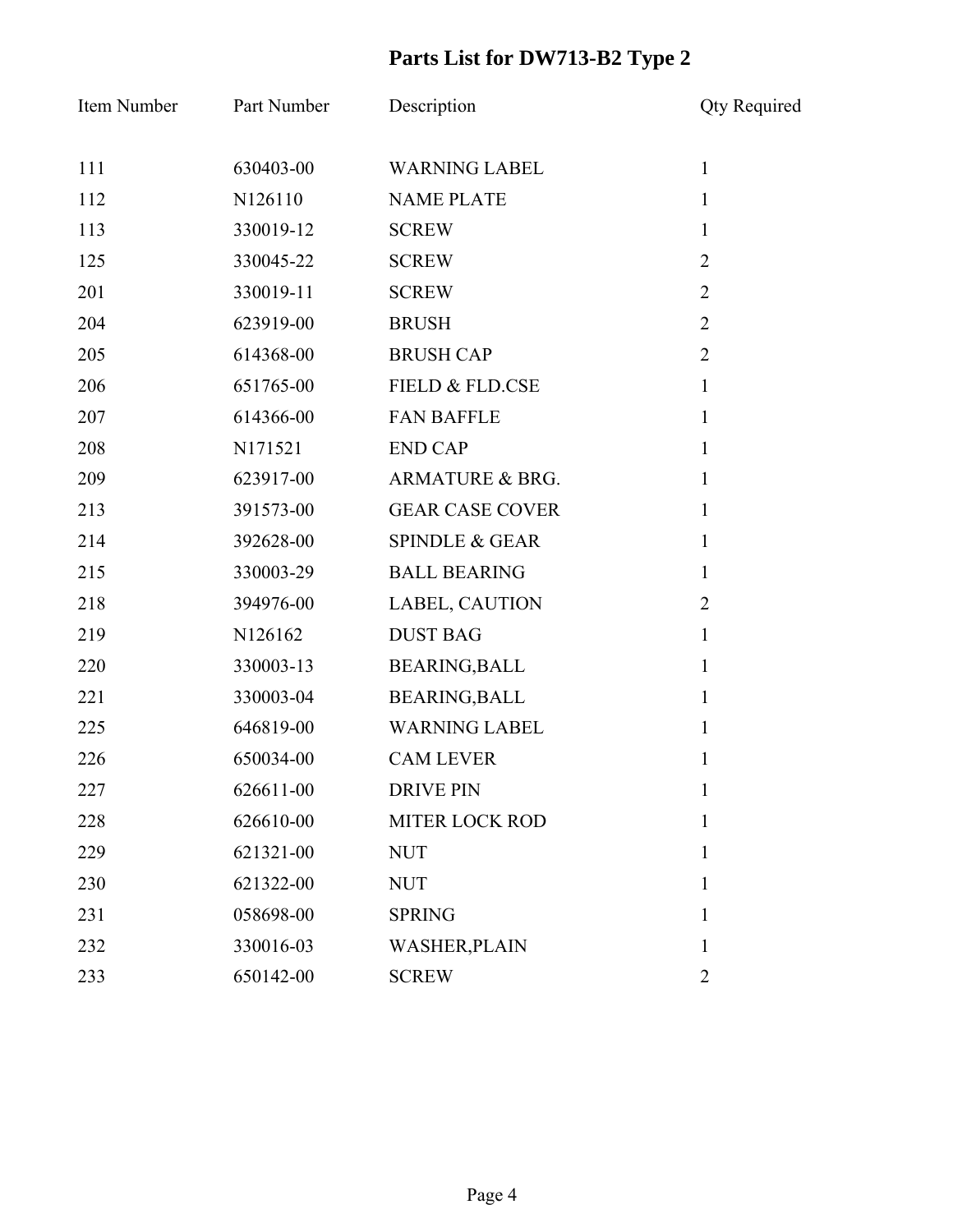| Item Number | Part Number | Description                | <b>Qty Required</b> |
|-------------|-------------|----------------------------|---------------------|
| 111         | 630403-00   | <b>WARNING LABEL</b>       | $\mathbf{1}$        |
| 112         | N126110     | <b>NAME PLATE</b>          | $\mathbf{1}$        |
| 113         | 330019-12   | <b>SCREW</b>               | $\mathbf{1}$        |
| 125         | 330045-22   | <b>SCREW</b>               | $\overline{2}$      |
| 201         | 330019-11   | <b>SCREW</b>               | $\overline{2}$      |
| 204         | 623919-00   | <b>BRUSH</b>               | $\overline{2}$      |
| 205         | 614368-00   | <b>BRUSH CAP</b>           | $\overline{2}$      |
| 206         | 651765-00   | <b>FIELD &amp; FLD.CSE</b> | $\mathbf{1}$        |
| 207         | 614366-00   | <b>FAN BAFFLE</b>          | $\mathbf{1}$        |
| 208         | N171521     | <b>END CAP</b>             | $\mathbf{1}$        |
| 209         | 623917-00   | <b>ARMATURE &amp; BRG.</b> | $\mathbf{1}$        |
| 213         | 391573-00   | <b>GEAR CASE COVER</b>     | $\mathbf{1}$        |
| 214         | 392628-00   | <b>SPINDLE &amp; GEAR</b>  | $\mathbf{1}$        |
| 215         | 330003-29   | <b>BALL BEARING</b>        | $\mathbf{1}$        |
| 218         | 394976-00   | LABEL, CAUTION             | $\overline{2}$      |
| 219         | N126162     | <b>DUST BAG</b>            | $\mathbf{1}$        |
| 220         | 330003-13   | <b>BEARING, BALL</b>       | $\mathbf{1}$        |
| 221         | 330003-04   | <b>BEARING, BALL</b>       | $\mathbf{1}$        |
| 225         | 646819-00   | <b>WARNING LABEL</b>       | $\mathbf{1}$        |
| 226         | 650034-00   | <b>CAM LEVER</b>           | 1                   |
| 227         | 626611-00   | <b>DRIVE PIN</b>           | $\perp$             |
| 228         | 626610-00   | <b>MITER LOCK ROD</b>      | $\mathbf{1}$        |
| 229         | 621321-00   | <b>NUT</b>                 | 1                   |
| 230         | 621322-00   | <b>NUT</b>                 | 1                   |
| 231         | 058698-00   | <b>SPRING</b>              | 1                   |
| 232         | 330016-03   | <b>WASHER, PLAIN</b>       | 1                   |
| 233         | 650142-00   | <b>SCREW</b>               | $\overline{2}$      |